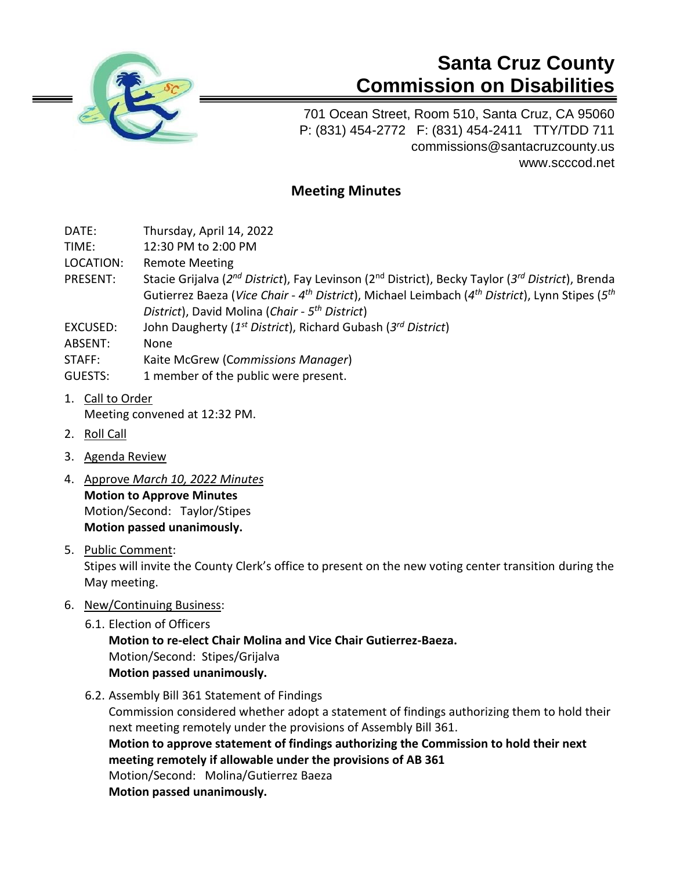

## **Santa Cruz County Commission on Disabilities**

701 Ocean Street, Room 510, Santa Cruz, CA 95060 P: (831) 454-2772 F: (831) 454-2411 TTY/TDD 711 [commissions@santacruzcounty.us](mailto:commissions@santacruzcounty.us) www.scccod.net

## **Meeting Minutes**

- DATE: Thursday, April 14, 2022
- TIME: 12:30 PM to 2:00 PM
- LOCATION: Remote Meeting
- PRESENT: Stacie Grijalva (2<sup>nd</sup> District), Fay Levinson (2<sup>nd</sup> District), Becky Taylor (3<sup>rd</sup> District), Brenda Gutierrez Baeza (*Vice Chair* - *4 th District*), Michael Leimbach (*4 th District*), Lynn Stipes (*5 th District*), David Molina (*Chair - 5 th District*)
- EXCUSED: John Daugherty (*1 st District*), Richard Gubash (*3 rd District*)
- ABSENT: None
- STAFF: Kaite McGrew (C*ommissions Manager*)
- GUESTS: 1 member of the public were present.
- 1. Call to Order Meeting convened at 12:32 PM.
- 2. Roll Call
- 3. Agenda Review
- 4. Approve *March 10, 2022 Minutes* **Motion to Approve Minutes** Motion/Second: Taylor/Stipes **Motion passed unanimously.**
- 5. Public Comment:

Stipes will invite the County Clerk's office to present on the new voting center transition during the May meeting.

- 6. New/Continuing Business:
	- 6.1. Election of Officers

**Motion to re-elect Chair Molina and Vice Chair Gutierrez-Baeza.**  Motion/Second: Stipes/Grijalva **Motion passed unanimously.**

6.2. Assembly Bill 361 Statement of Findings

Commission considered whether adopt a statement of findings authorizing them to hold their next meeting remotely under the provisions of Assembly Bill 361. **Motion to approve statement of findings authorizing the Commission to hold their next** 

**meeting remotely if allowable under the provisions of AB 361**

Motion/Second: Molina/Gutierrez Baeza

**Motion passed unanimously.**